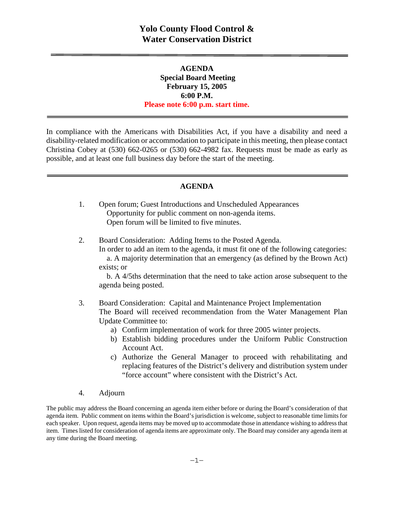## **AGENDA Special Board Meeting February 15, 2005 6:00 P.M. Please note 6:00 p.m. start time.**

In compliance with the Americans with Disabilities Act, if you have a disability and need a disability-related modification or accommodation to participate in this meeting, then please contact Christina Cobey at (530) 662-0265 or (530) 662-4982 fax. Requests must be made as early as possible, and at least one full business day before the start of the meeting.

#### **AGENDA**

- 1. Open forum; Guest Introductions and Unscheduled Appearances Opportunity for public comment on non-agenda items. Open forum will be limited to five minutes.
- 2. Board Consideration: Adding Items to the Posted Agenda. In order to add an item to the agenda, it must fit one of the following categories: a. A majority determination that an emergency (as defined by the Brown Act) exists; or

 b. A 4/5ths determination that the need to take action arose subsequent to the agenda being posted.

### 3. Board Consideration: Capital and Maintenance Project Implementation The Board will received recommendation from the Water Management Plan Update Committee to:

- a) Confirm implementation of work for three 2005 winter projects.
- b) Establish bidding procedures under the Uniform Public Construction Account Act.
- c) Authorize the General Manager to proceed with rehabilitating and replacing features of the District's delivery and distribution system under "force account" where consistent with the District's Act.
- 4. Adjourn

The public may address the Board concerning an agenda item either before or during the Board's consideration of that agenda item. Public comment on items within the Board's jurisdiction is welcome, subject to reasonable time limits for each speaker. Upon request, agenda items may be moved up to accommodate those in attendance wishing to address that item. Times listed for consideration of agenda items are approximate only. The Board may consider any agenda item at any time during the Board meeting.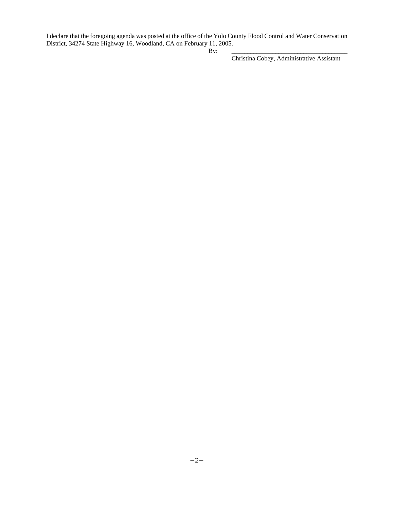I declare that the foregoing agenda was posted at the office of the Yolo County Flood Control and Water Conservation District, 34274 State Highway 16, Woodland, CA on February 11, 2005.

By: \_\_\_\_\_\_\_\_\_\_\_\_\_\_\_\_\_\_\_\_\_\_\_\_\_\_\_\_\_\_\_\_\_\_\_\_\_

Christina Cobey, Administrative Assistant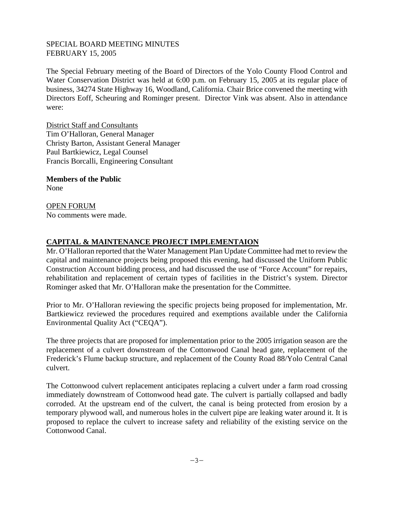### SPECIAL BOARD MEETING MINUTES FEBRUARY 15, 2005

The Special February meeting of the Board of Directors of the Yolo County Flood Control and Water Conservation District was held at 6:00 p.m. on February 15, 2005 at its regular place of business, 34274 State Highway 16, Woodland, California. Chair Brice convened the meeting with Directors Eoff, Scheuring and Rominger present. Director Vink was absent. Also in attendance were:

District Staff and Consultants Tim O'Halloran, General Manager Christy Barton, Assistant General Manager Paul Bartkiewicz, Legal Counsel Francis Borcalli, Engineering Consultant

**Members of the Public**  None

OPEN FORUM No comments were made.

# **CAPITAL & MAINTENANCE PROJECT IMPLEMENTAION**

Mr. O'Halloran reported that the Water Management Plan Update Committee had met to review the capital and maintenance projects being proposed this evening, had discussed the Uniform Public Construction Account bidding process, and had discussed the use of "Force Account" for repairs, rehabilitation and replacement of certain types of facilities in the District's system. Director Rominger asked that Mr. O'Halloran make the presentation for the Committee.

Prior to Mr. O'Halloran reviewing the specific projects being proposed for implementation, Mr. Bartkiewicz reviewed the procedures required and exemptions available under the California Environmental Quality Act ("CEQA").

The three projects that are proposed for implementation prior to the 2005 irrigation season are the replacement of a culvert downstream of the Cottonwood Canal head gate, replacement of the Frederick's Flume backup structure, and replacement of the County Road 88/Yolo Central Canal culvert.

The Cottonwood culvert replacement anticipates replacing a culvert under a farm road crossing immediately downstream of Cottonwood head gate. The culvert is partially collapsed and badly corroded. At the upstream end of the culvert, the canal is being protected from erosion by a temporary plywood wall, and numerous holes in the culvert pipe are leaking water around it. It is proposed to replace the culvert to increase safety and reliability of the existing service on the Cottonwood Canal.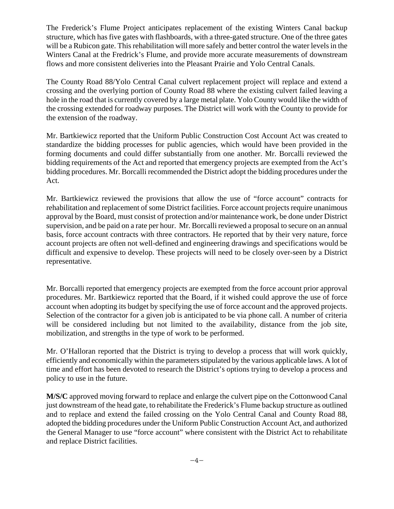The Frederick's Flume Project anticipates replacement of the existing Winters Canal backup structure, which has five gates with flashboards, with a three-gated structure. One of the three gates will be a Rubicon gate. This rehabilitation will more safely and better control the water levels in the Winters Canal at the Fredrick's Flume, and provide more accurate measurements of downstream flows and more consistent deliveries into the Pleasant Prairie and Yolo Central Canals.

The County Road 88/Yolo Central Canal culvert replacement project will replace and extend a crossing and the overlying portion of County Road 88 where the existing culvert failed leaving a hole in the road that is currently covered by a large metal plate. Yolo County would like the width of the crossing extended for roadway purposes. The District will work with the County to provide for the extension of the roadway.

Mr. Bartkiewicz reported that the Uniform Public Construction Cost Account Act was created to standardize the bidding processes for public agencies, which would have been provided in the forming documents and could differ substantially from one another. Mr. Borcalli reviewed the bidding requirements of the Act and reported that emergency projects are exempted from the Act's bidding procedures. Mr. Borcalli recommended the District adopt the bidding procedures under the Act.

Mr. Bartkiewicz reviewed the provisions that allow the use of "force account" contracts for rehabilitation and replacement of some District facilities. Force account projects require unanimous approval by the Board, must consist of protection and/or maintenance work, be done under District supervision, and be paid on a rate per hour. Mr. Borcalli reviewed a proposal to secure on an annual basis, force account contracts with three contractors. He reported that by their very nature, force account projects are often not well-defined and engineering drawings and specifications would be difficult and expensive to develop. These projects will need to be closely over-seen by a District representative.

Mr. Borcalli reported that emergency projects are exempted from the force account prior approval procedures. Mr. Bartkiewicz reported that the Board, if it wished could approve the use of force account when adopting its budget by specifying the use of force account and the approved projects. Selection of the contractor for a given job is anticipated to be via phone call. A number of criteria will be considered including but not limited to the availability, distance from the job site, mobilization, and strengths in the type of work to be performed.

Mr. O'Halloran reported that the District is trying to develop a process that will work quickly, efficiently and economically within the parameters stipulated by the various applicable laws. A lot of time and effort has been devoted to research the District's options trying to develop a process and policy to use in the future.

**M/S/C** approved moving forward to replace and enlarge the culvert pipe on the Cottonwood Canal just downstream of the head gate, to rehabilitate the Frederick's Flume backup structure as outlined and to replace and extend the failed crossing on the Yolo Central Canal and County Road 88, adopted the bidding procedures under the Uniform Public Construction Account Act, and authorized the General Manager to use "force account" where consistent with the District Act to rehabilitate and replace District facilities.